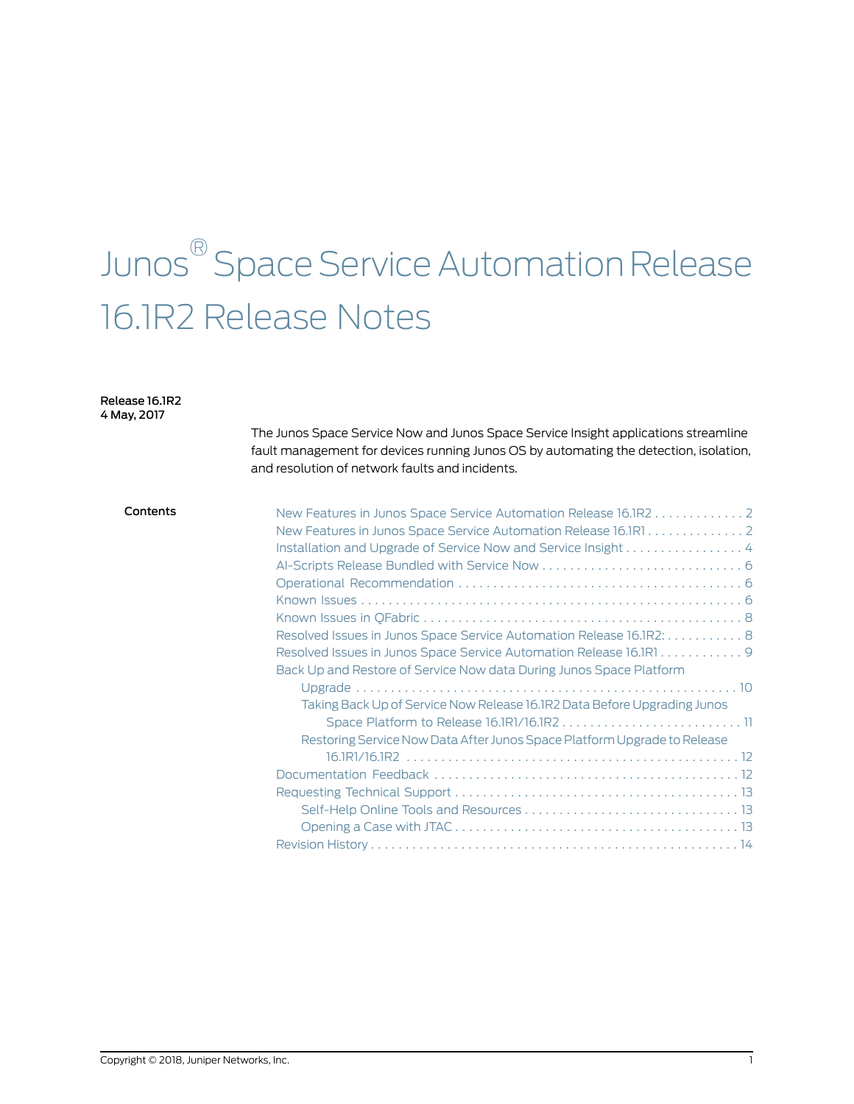# Junos ® Space Service Automation Release 16.1R2 Release Notes

#### Release 16.1R2 4 May, 2017

The Junos Space Service Now and Junos Space Service Insight applications streamline fault management for devices running Junos OS by automating the detection, isolation, and resolution of network faults and incidents.

#### Contents New Features in Junos Space Service [Automation](#page-1-0) Release 16.1R2 . . . . . . . . . . . . . [2](#page-1-0)

| Catol Componed Opace Ochnice Adtonnation netease Tomaz 2                 |
|--------------------------------------------------------------------------|
| New Features in Junos Space Service Automation Release 16.1R1            |
| Installation and Upgrade of Service Now and Service Insight4             |
|                                                                          |
|                                                                          |
|                                                                          |
|                                                                          |
| Resolved Issues in Junos Space Service Automation Release 16.1R2: 8      |
| Resolved Issues in Junos Space Service Automation Release 16.1R19        |
| Back Up and Restore of Service Now data During Junos Space Platform      |
|                                                                          |
| Taking Back Up of Service Now Release 16.1R2 Data Before Upgrading Junos |
|                                                                          |
| Restoring Service Now Data After Junos Space Platform Upgrade to Release |
|                                                                          |
|                                                                          |
|                                                                          |
|                                                                          |
|                                                                          |
|                                                                          |
|                                                                          |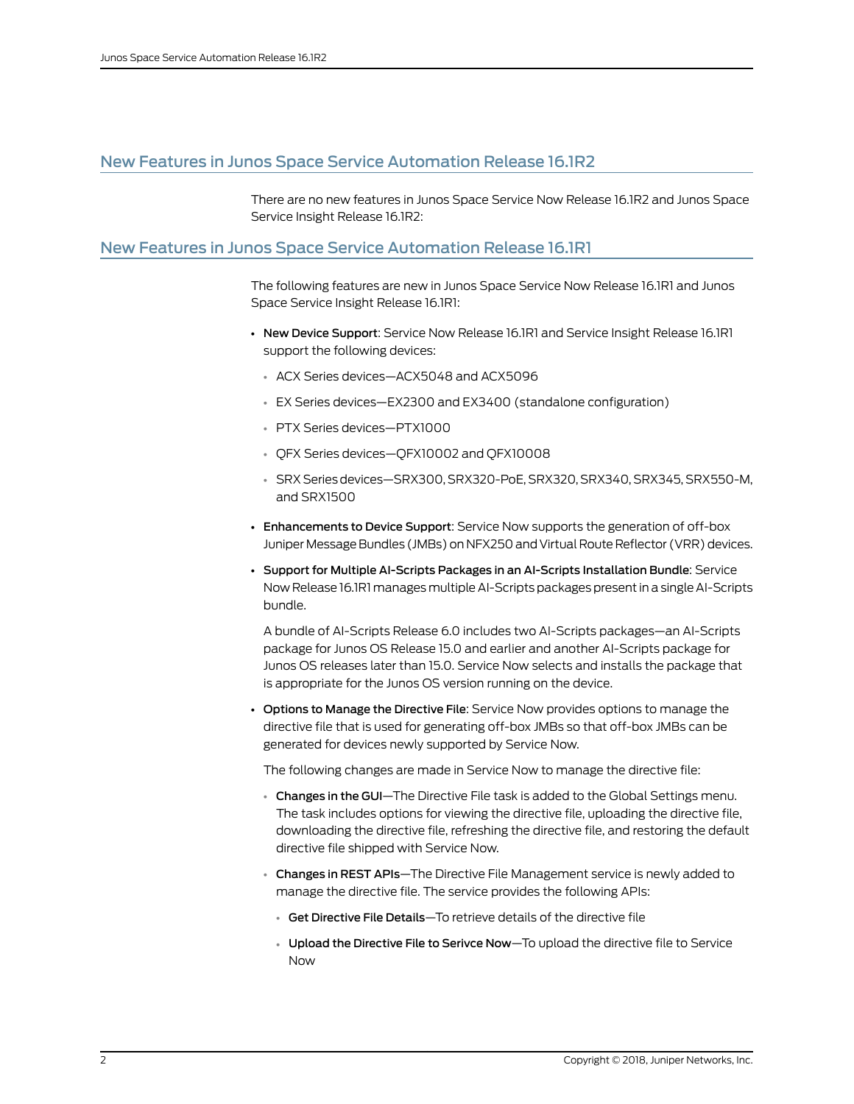# <span id="page-1-0"></span>New Features in Junos Space Service Automation Release 16.1R2

There are no new features in Junos Space Service Now Release 16.1R2 and Junos Space Service Insight Release 16.1R2:

## <span id="page-1-1"></span>New Features in Junos Space Service Automation Release 16.1R1

The following features are new in Junos Space Service Now Release 16.1R1 and Junos Space Service Insight Release 16.1R1:

- New Device Support: Service Now Release 16.1R1 and Service Insight Release 16.1R1 support the following devices:
	- ACX Series devices—ACX5048 and ACX5096
	- EX Series devices—EX2300 and EX3400 (standalone configuration)
	- PTX Series devices—PTX1000
	- QFX Series devices—QFX10002 and QFX10008
	- SRX Seriesdevices—SRX300, SRX320-PoE, SRX320, SRX340, SRX345, SRX550-M, and SRX1500
- Enhancements to Device Support: Service Now supports the generation of off-box Juniper Message Bundles (JMBs) on NFX250 and Virtual Route Reflector (VRR)devices.
- Support for Multiple AI-Scripts Packages in an AI-Scripts Installation Bundle: Service Now Release 16.1R1 manages multiple AI-Scripts packages present in a single AI-Scripts bundle.

A bundle of AI-Scripts Release 6.0 includes two AI-Scripts packages—an AI-Scripts package for Junos OS Release 15.0 and earlier and another AI-Scripts package for Junos OS releases later than 15.0. Service Now selects and installs the package that is appropriate for the Junos OS version running on the device.

• Options to Manage the Directive File: Service Now provides options to manage the directive file that is used for generating off-box JMBs so that off-box JMBs can be generated for devices newly supported by Service Now.

The following changes are made in Service Now to manage the directive file:

- Changes in the GUI—The Directive File task is added to the Global Settings menu. The task includes options for viewing the directive file, uploading the directive file, downloading the directive file, refreshing the directive file, and restoring the default directive file shipped with Service Now.
- Changes in REST APIs—The Directive File Management service is newly added to manage the directive file. The service provides the following APIs:
	- Get Directive File Details—To retrieve details of the directive file
	- Upload the Directive File to Serivce Now—To upload the directive file to Service Now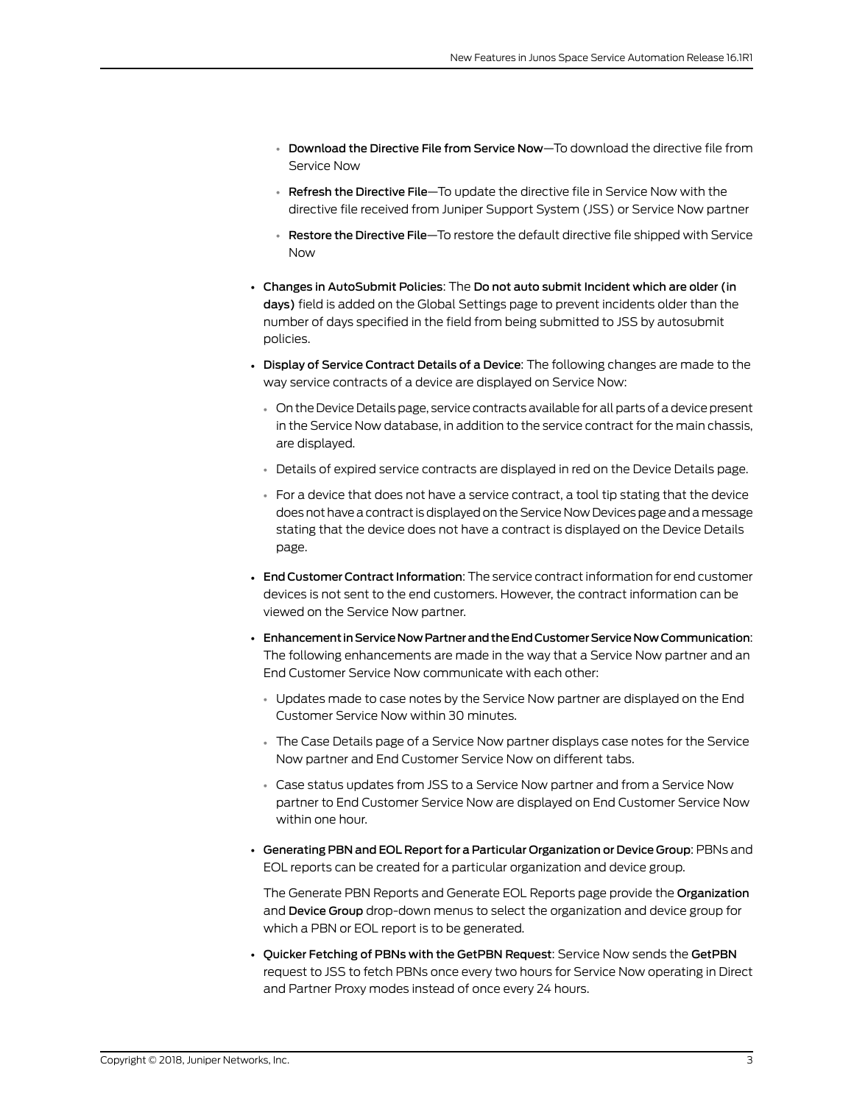- Download the Directive File from Service Now—To download the directive file from Service Now
- Refresh the Directive File—To update the directive file in Service Now with the directive file received from Juniper Support System (JSS) or Service Now partner
- Restore the Directive File—To restore the default directive file shipped with Service Now
- Changes in AutoSubmit Policies: The Do not auto submit Incident which are older (in days) field is added on the Global Settings page to prevent incidents older than the number of days specified in the field from being submitted to JSS by autosubmit policies.
- Display of Service Contract Details of a Device: The following changes are made to the way service contracts of a device are displayed on Service Now:
	- On the Device Details page, service contracts available for all parts of a device present in the Service Now database, in addition to the service contract for the main chassis, are displayed.
	- Details of expired service contracts are displayed in red on the Device Details page.
	- For a device that does not have a service contract, a tool tip stating that the device does not have a contract is displayed on the Service Now Devices page and a message stating that the device does not have a contract is displayed on the Device Details page.
- End Customer Contract Information: The service contract information for end customer devices is not sent to the end customers. However, the contract information can be viewed on the Service Now partner.
- Enhancement in Service Now Partner and the End Customer Service Now Communication: The following enhancements are made in the way that a Service Now partner and an End Customer Service Now communicate with each other:
	- Updates made to case notes by the Service Now partner are displayed on the End Customer Service Now within 30 minutes.
	- The Case Details page of a Service Now partner displays case notes for the Service Now partner and End Customer Service Now on different tabs.
	- Case status updates from JSS to a Service Now partner and from a Service Now partner to End Customer Service Now are displayed on End Customer Service Now within one hour.
- Generating PBN and EOL Report for a Particular Organization or Device Group: PBNs and EOL reports can be created for a particular organization and device group.

The Generate PBN Reports and Generate EOL Reports page provide the Organization and Device Group drop-down menus to select the organization and device group for which a PBN or EOL report is to be generated.

• Quicker Fetching of PBNs with the GetPBN Request: Service Now sends the GetPBN request to JSS to fetch PBNs once every two hours for Service Now operating in Direct and Partner Proxy modes instead of once every 24 hours.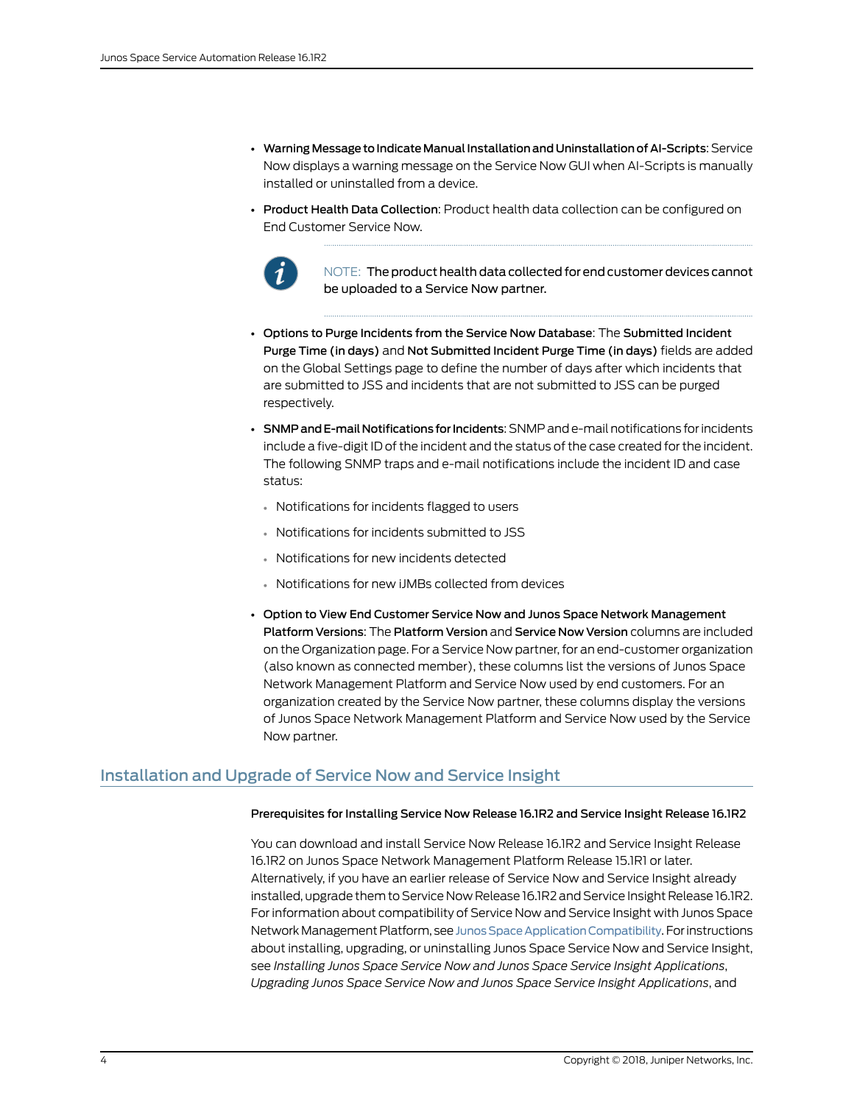- Warning Message to Indicate Manual Installation and Uninstallation of AI-Scripts: Service Now displays a warning message on the Service Now GUI when AI-Scripts is manually installed or uninstalled from a device.
- Product Health Data Collection: Product health data collection can be configured on End Customer Service Now.



NOTE: The product health data collected for end customer devices cannot be uploaded to a Service Now partner.

- Options to Purge Incidents from the Service Now Database: The Submitted Incident Purge Time (in days) and Not Submitted Incident Purge Time (in days) fields are added on the Global Settings page to define the number of days after which incidents that are submitted to JSS and incidents that are not submitted to JSS can be purged respectively.
- SNMP and E-mail Notifications for Incidents: SNMP and e-mail notifications for incidents include a five-digit ID of the incident and the status of the case created for the incident. The following SNMP traps and e-mail notifications include the incident ID and case status:
	- Notifications for incidents flagged to users
	- Notifications for incidents submitted to JSS
	- Notifications for new incidents detected
	- Notifications for new iJMBs collected from devices
- Option to View End Customer Service Now and Junos Space Network Management Platform Versions: The Platform Version and Service Now Version columns are included on the Organization page. For a Service Now partner,for an end-customer organization (also known as connected member), these columns list the versions of Junos Space Network Management Platform and Service Now used by end customers. For an organization created by the Service Now partner, these columns display the versions of Junos Space Network Management Platform and Service Now used by the Service Now partner.

# <span id="page-3-0"></span>Installation and Upgrade of Service Now and Service Insight

#### Prerequisites for Installing Service Now Release 16.1R2 and Service Insight Release 16.1R2

You can download and install Service Now Release 16.1R2 and Service Insight Release 16.1R2 on Junos Space Network Management Platform Release 15.1R1 or later. Alternatively, if you have an earlier release of Service Now and Service Insight already installed, upgrade them to Service Now Release 16.1R2 and Service Insight Release 16.1R2. For information about compatibility of Service Now and Service Insight with Junos Space Network Management Platform, see Junos Space Application Compatibility. For instructions about installing, upgrading, or uninstalling Junos Space Service Now and Service Insight, see *Installing Junos Space Service Now and Junos Space Service Insight Applications*, *Upgrading Junos Space Service Now and Junos Space Service Insight Applications*, and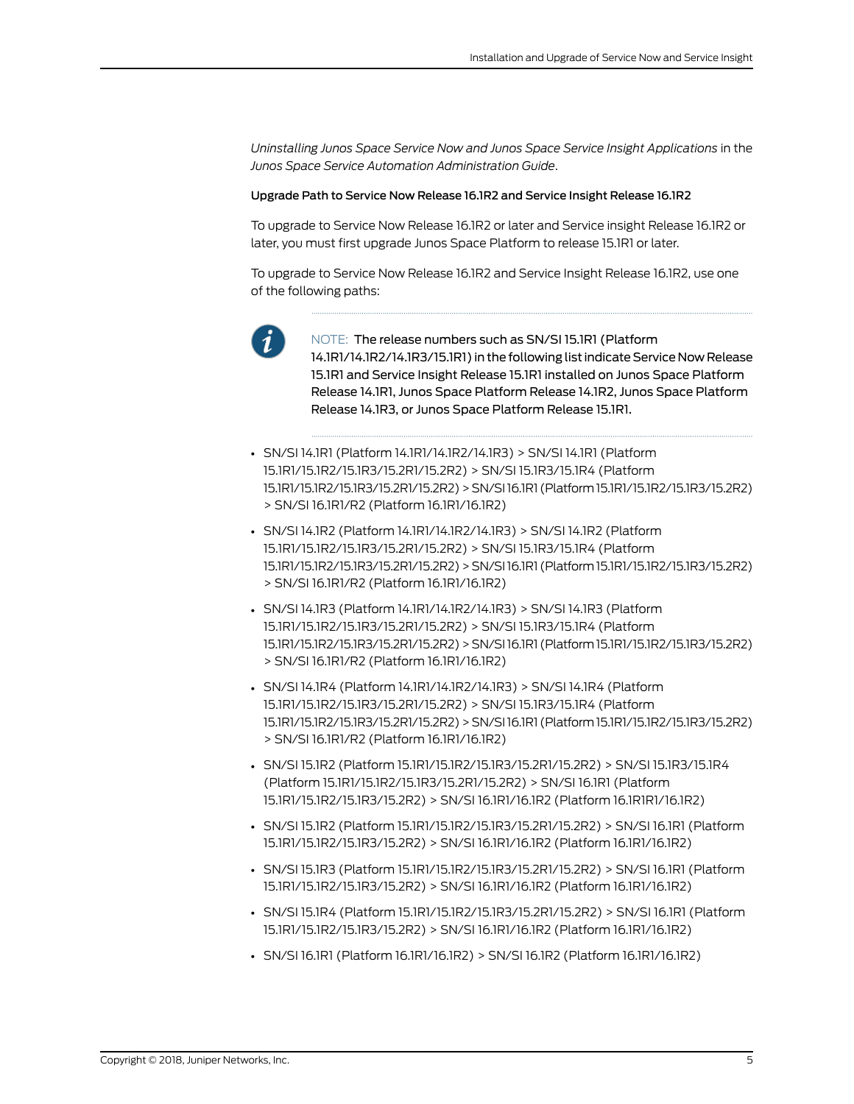*Uninstalling Junos Space Service Now and Junos Space Service Insight Applications* in the *Junos Space Service Automation Administration Guide*.

#### Upgrade Path to Service Now Release 16.1R2 and Service Insight Release 16.1R2

To upgrade to Service Now Release 16.1R2 or later and Service insight Release 16.1R2 or later, you must first upgrade Junos Space Platform to release 15.1R1 or later.

To upgrade to Service Now Release 16.1R2 and Service Insight Release 16.1R2, use one of the following paths:



NOTE: The release numbers such as SN/SI 15.1R1 (Platform 14.1R1/14.1R2/14.1R3/15.1R1) in the following list indicate Service Now Release 15.1R1 and Service Insight Release 15.1R1 installed on Junos Space Platform Release 14.1R1, Junos Space Platform Release 14.1R2, Junos Space Platform Release 14.1R3, or Junos Space Platform Release 15.1R1.

- SN/SI 14.1R1 (Platform 14.1R1/14.1R2/14.1R3) > SN/SI 14.1R1 (Platform 15.1R1/15.1R2/15.1R3/15.2R1/15.2R2) > SN/SI 15.1R3/15.1R4 (Platform 15.1R1/15.1R2/15.1R3/15.2R1/15.2R2)>SN/SI16.1R1 (Platform15.1R1/15.1R2/15.1R3/15.2R2) > SN/SI 16.1R1/R2 (Platform 16.1R1/16.1R2)
- SN/SI 14.1R2 (Platform 14.1R1/14.1R2/14.1R3) > SN/SI 14.1R2 (Platform 15.1R1/15.1R2/15.1R3/15.2R1/15.2R2) > SN/SI 15.1R3/15.1R4 (Platform 15.1R1/15.1R2/15.1R3/15.2R1/15.2R2)>SN/SI16.1R1 (Platform15.1R1/15.1R2/15.1R3/15.2R2) > SN/SI 16.1R1/R2 (Platform 16.1R1/16.1R2)
- SN/SI 14.1R3 (Platform 14.1R1/14.1R2/14.1R3) > SN/SI 14.1R3 (Platform 15.1R1/15.1R2/15.1R3/15.2R1/15.2R2) > SN/SI 15.1R3/15.1R4 (Platform 15.1R1/15.1R2/15.1R3/15.2R1/15.2R2)>SN/SI16.1R1 (Platform15.1R1/15.1R2/15.1R3/15.2R2) > SN/SI 16.1R1/R2 (Platform 16.1R1/16.1R2)
- SN/SI 14.1R4 (Platform 14.1R1/14.1R2/14.1R3) > SN/SI 14.1R4 (Platform 15.1R1/15.1R2/15.1R3/15.2R1/15.2R2) > SN/SI 15.1R3/15.1R4 (Platform 15.1R1/15.1R2/15.1R3/15.2R1/15.2R2)>SN/SI16.1R1 (Platform15.1R1/15.1R2/15.1R3/15.2R2) > SN/SI 16.1R1/R2 (Platform 16.1R1/16.1R2)
- SN/SI 15.1R2 (Platform 15.1R1/15.1R2/15.1R3/15.2R1/15.2R2) > SN/SI 15.1R3/15.1R4 (Platform 15.1R1/15.1R2/15.1R3/15.2R1/15.2R2) > SN/SI 16.1R1 (Platform 15.1R1/15.1R2/15.1R3/15.2R2) > SN/SI 16.1R1/16.1R2 (Platform 16.1R1R1/16.1R2)
- SN/SI 15.1R2 (Platform 15.1R1/15.1R2/15.1R3/15.2R1/15.2R2) > SN/SI 16.1R1 (Platform 15.1R1/15.1R2/15.1R3/15.2R2) > SN/SI 16.1R1/16.1R2 (Platform 16.1R1/16.1R2)
- SN/SI 15.1R3 (Platform 15.1R1/15.1R2/15.1R3/15.2R1/15.2R2) > SN/SI 16.1R1 (Platform 15.1R1/15.1R2/15.1R3/15.2R2) > SN/SI 16.1R1/16.1R2 (Platform 16.1R1/16.1R2)
- SN/SI 15.1R4 (Platform 15.1R1/15.1R2/15.1R3/15.2R1/15.2R2) > SN/SI 16.1R1 (Platform 15.1R1/15.1R2/15.1R3/15.2R2) > SN/SI 16.1R1/16.1R2 (Platform 16.1R1/16.1R2)
- SN/SI 16.1R1 (Platform 16.1R1/16.1R2) > SN/SI 16.1R2 (Platform 16.1R1/16.1R2)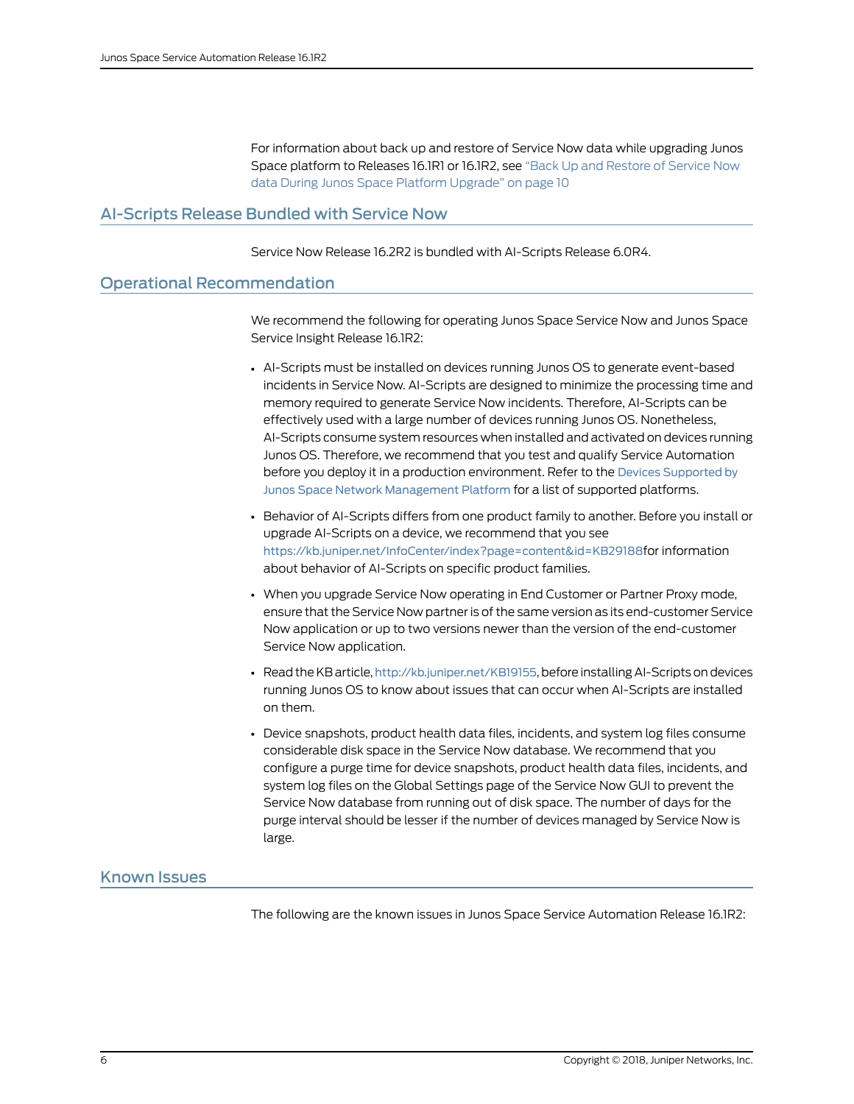For information about back up and restore of Service Now data while upgrading Junos Space platform to Releases 16.1R1 or 16.1R2, see "Back Up and [Restore](#page-9-0) of Service Now data During Junos Space Platform [Upgrade"](#page-9-0) on page 10

## <span id="page-5-0"></span>AI-Scripts Release Bundled with Service Now

Service Now Release 16.2R2 is bundled with AI-Scripts Release 6.0R4.

## <span id="page-5-1"></span>Operational Recommendation

We recommend the following for operating Junos Space Service Now and Junos Space Service Insight Release 16.1R2:

- AI-Scripts must be installed on devices running Junos OS to generate event-based incidents in Service Now. AI-Scripts are designed to minimize the processing time and memory required to generate Service Now incidents. Therefore, AI-Scripts can be effectively used with a large number of devices running Junos OS. Nonetheless, AI-Scripts consume system resources when installed and activated on devices running Junos OS. Therefore, we recommend that you test and qualify Service Automation before you deploy it in a production environment. Refer to the Devices [Supported](http://www.juniper.net/techpubs/en_US/junos-space15.2/platform/topics/reference/general/devices-supported.html) by Junos Space Network [Management](http://www.juniper.net/techpubs/en_US/junos-space15.2/platform/topics/reference/general/devices-supported.html) Platform for a list of supported platforms.
- Behavior of AI-Scripts differs from one product family to another. Before you install or upgrade AI-Scripts on a device, we recommend that you see <https://kb.juniper.net/InfoCenter/index?page=content&id=KB29188>for information about behavior of AI-Scripts on specific product families.
- When you upgrade Service Now operating in End Customer or Partner Proxy mode, ensure that the Service Now partner is of the same version as its end-customer Service Now application or up to two versions newer than the version of the end-customer Service Now application.
- Read the KB article, <http://kb.juniper.net/KB19155>, before installing AI-Scripts on devices running Junos OS to know about issues that can occur when AI-Scripts are installed on them.
- Device snapshots, product health data files, incidents, and system log files consume considerable disk space in the Service Now database. We recommend that you configure a purge time for device snapshots, product health data files, incidents, and system log files on the Global Settings page of the Service Now GUI to prevent the Service Now database from running out of disk space. The number of days for the purge interval should be lesser if the number of devices managed by Service Now is large.

## <span id="page-5-2"></span>Known Issues

The following are the known issues in Junos Space Service Automation Release 16.1R2: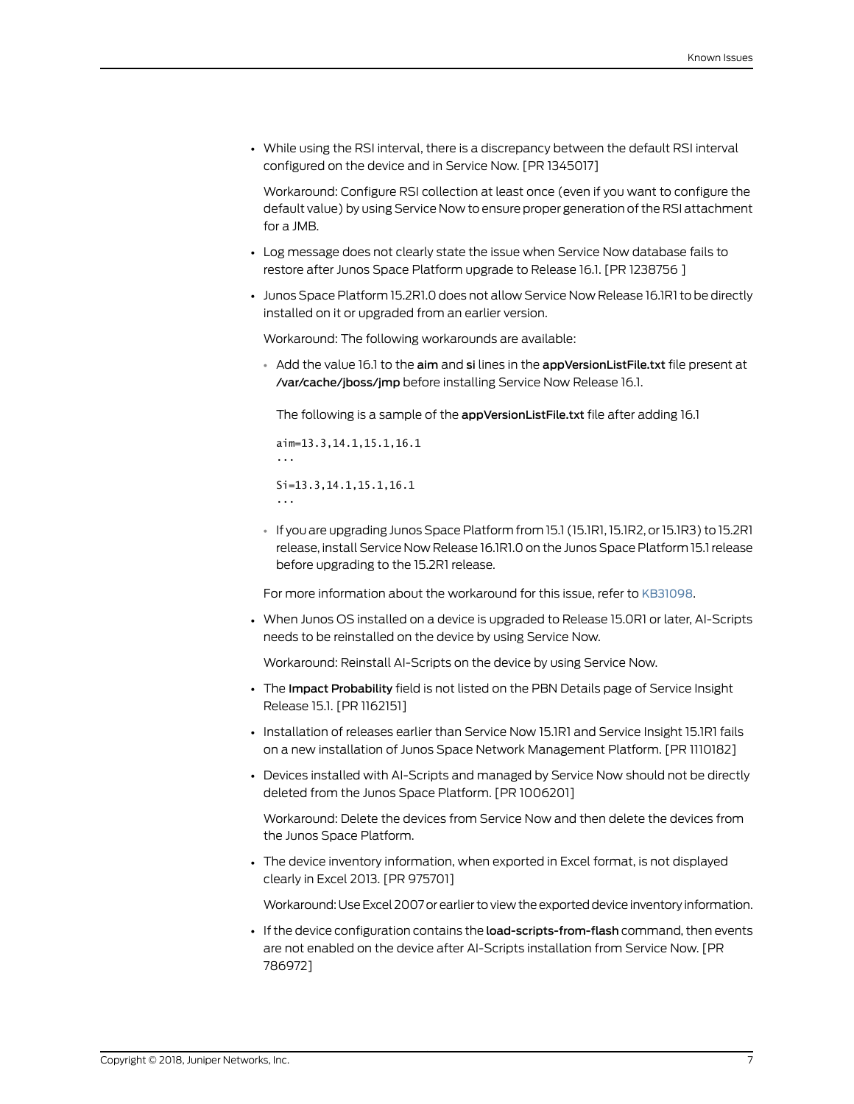• While using the RSI interval, there is a discrepancy between the default RSI interval configured on the device and in Service Now. [PR 1345017]

Workaround: Configure RSI collection at least once (even if you want to configure the default value) by using Service Now to ensure proper generation of the RSI attachment for a JMB.

- Log message does not clearly state the issue when Service Now database fails to restore after Junos Space Platform upgrade to Release 16.1. [PR 1238756 ]
- Junos Space Platform 15.2R1.0 does not allow Service Now Release 16.1R1 to be directly installed on it or upgraded from an earlier version.

Workaround: The following workarounds are available:

• Add the value 16.1 to the aim and si lines in the appVersionListFile.txt file present at /var/cache/jboss/jmp before installing Service Now Release 16.1.

The following is a sample of the appVersionListFile.txt file after adding 16.1

aim=13.3,14.1,15.1,16.1 ... Si=13.3,14.1,15.1,16.1 ...

• If you are upgrading Junos Space Platform from 15.1 (15.1R1,15.1R2, or15.1R3) to 15.2R1 release, install Service Now Release 16.1R1.0 on the Junos Space Platform 15.1release before upgrading to the 15.2R1 release.

For more information about the workaround for this issue, refer to [KB31098](https://kb.juniper.net/InfoCenter/index?page=content&id=KB31098&actp=search).

• When Junos OS installed on a device is upgraded to Release 15.0R1 or later, AI-Scripts needs to be reinstalled on the device by using Service Now.

Workaround: Reinstall AI-Scripts on the device by using Service Now.

- The Impact Probability field is not listed on the PBN Details page of Service Insight Release 15.1. [PR 1162151]
- Installation of releases earlier than Service Now 15.1R1 and Service Insight 15.1R1 fails on a new installation of Junos Space Network Management Platform. [PR 1110182]
- Devices installed with AI-Scripts and managed by Service Now should not be directly deleted from the Junos Space Platform. [PR 1006201]

Workaround: Delete the devices from Service Now and then delete the devices from the Junos Space Platform.

• The device inventory information, when exported in Excel format, is not displayed clearly in Excel 2013. [PR 975701]

Workaround: Use Excel 2007 or earlier to view the exported device inventory information.

• If the device configuration contains the **load-scripts-from-flash** command, then events are not enabled on the device after AI-Scripts installation from Service Now. [PR 786972]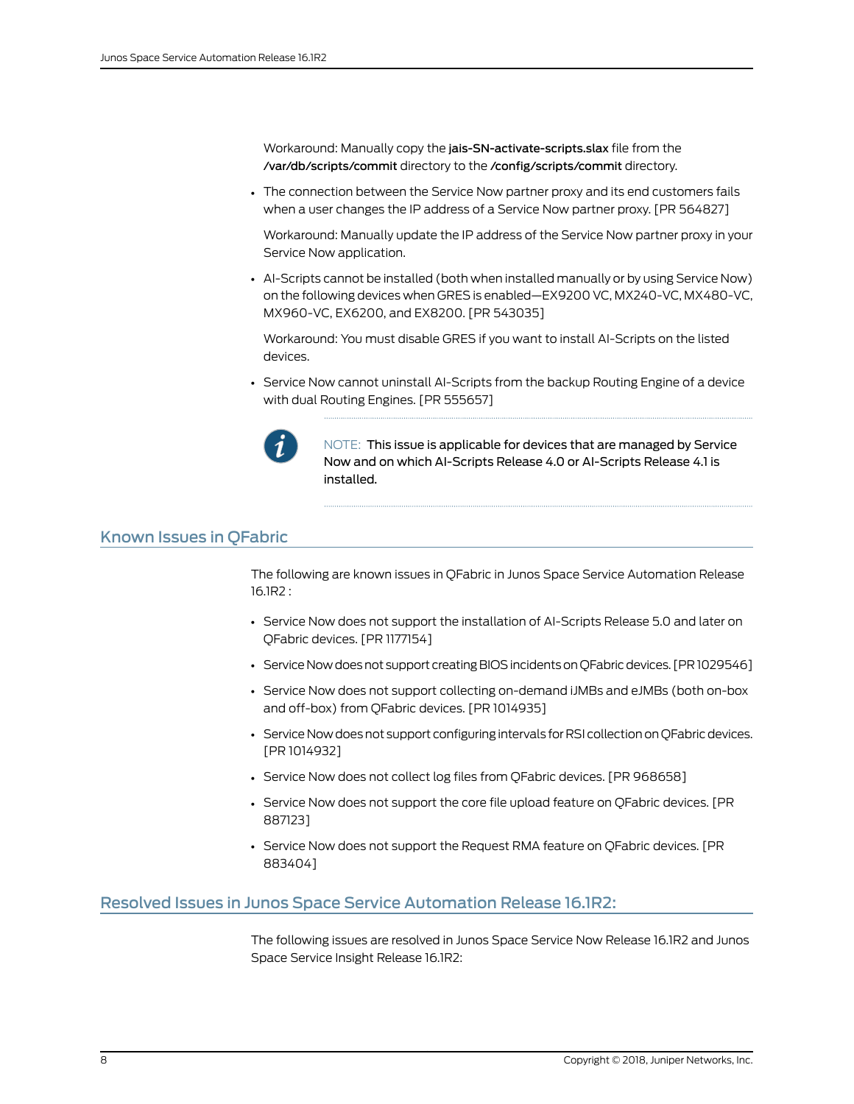Workaround: Manually copy the jais-SN-activate-scripts.slax file from the /var/db/scripts/commit directory to the /config/scripts/commit directory.

• The connection between the Service Now partner proxy and its end customers fails when a user changes the IP address of a Service Now partner proxy. [PR 564827]

Workaround: Manually update the IP address of the Service Now partner proxy in your Service Now application.

• AI-Scripts cannot be installed (both when installed manually or by using Service Now) on the following devices when GRES is enabled—EX9200 VC, MX240-VC, MX480-VC, MX960-VC, EX6200, and EX8200. [PR 543035]

Workaround: You must disable GRES if you want to install AI-Scripts on the listed devices.

• Service Now cannot uninstall AI-Scripts from the backup Routing Engine of a device with dual Routing Engines. [PR 555657]



NOTE: This issue is applicable for devices that are managed by Service Now and on which AI-Scripts Release 4.0 or AI-Scripts Release 4.1 is installed.

## <span id="page-7-0"></span>Known Issues in QFabric

The following are known issues in QFabric in Junos Space Service Automation Release 16.1R2 :

- Service Now does not support the installation of AI-Scripts Release 5.0 and later on QFabric devices. [PR 1177154]
- Service Now does not support creating BIOS incidents on QFabric devices. [PR 1029546]
- Service Now does not support collecting on-demand iJMBs and eJMBs (both on-box and off-box) from QFabric devices. [PR 1014935]
- Service Now does not support configuring intervals for RSI collection on QFabric devices. [PR 1014932]
- Service Now does not collect log files from QFabric devices. [PR 968658]
- Service Now does not support the core file upload feature on QFabric devices. [PR 887123]
- Service Now does not support the Request RMA feature on QFabric devices. [PR 883404]

#### <span id="page-7-1"></span>Resolved Issues in Junos Space Service Automation Release 16.1R2:

The following issues are resolved in Junos Space Service Now Release 16.1R2 and Junos Space Service Insight Release 16.1R2: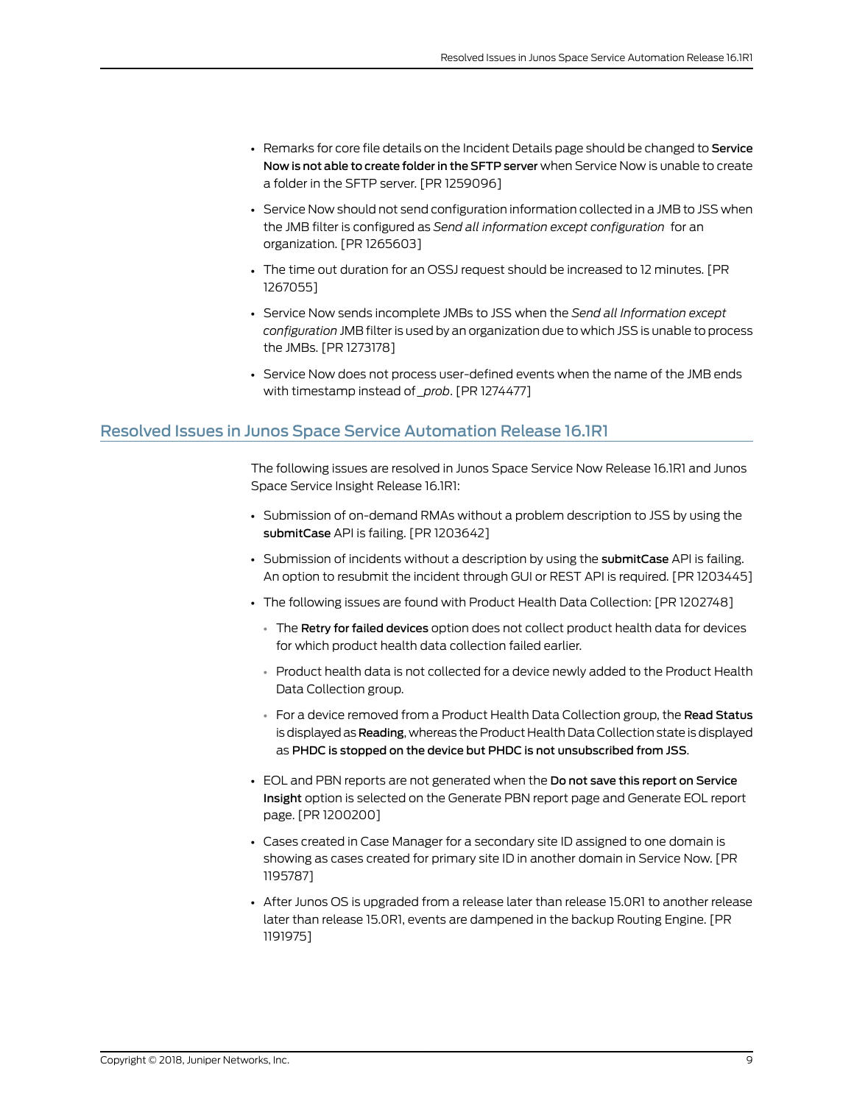- Remarks for core file details on the Incident Details page should be changed to Service Now is not able to create folder in the SFTP server when Service Now is unable to create a folder in the SFTP server. [PR 1259096]
- Service Now should not send configuration information collected in a JMB to JSS when the JMB filter is configured as *Send all information except configuration* for an organization. [PR 1265603]
- The time out duration for an OSSJ request should be increased to 12 minutes. [PR 1267055]
- Service Now sends incomplete JMBs to JSS when the *Send all Information except configuration* JMB filter is used by an organization due to which JSS is unable to process the JMBs. [PR 1273178]
- Service Now does not process user-defined events when the name of the JMB ends with timestamp instead of *\_prob*. [PR 1274477]

# <span id="page-8-0"></span>Resolved Issues in Junos Space Service Automation Release 16.1R1

The following issues are resolved in Junos Space Service Now Release 16.1R1 and Junos Space Service Insight Release 16.1R1:

- Submission of on-demand RMAs without a problem description to JSS by using the submitCase API is failing. [PR 1203642]
- Submission of incidents without a description by using the submitCase API is failing. An option to resubmit the incident through GUI or REST API is required. [PR 1203445]
- The following issues are found with Product Health Data Collection: [PR 1202748]
	- The Retry for failed devices option does not collect product health data for devices for which product health data collection failed earlier.
	- Product health data is not collected for a device newly added to the Product Health Data Collection group.
	- For a device removed from a Product Health Data Collection group, the Read Status is displayed as Reading, whereas the Product Health Data Collection state is displayed as PHDC is stopped on the device but PHDC is not unsubscribed from JSS.
- EOL and PBN reports are not generated when the Do not save this report on Service Insight option is selected on the Generate PBN report page and Generate EOL report page. [PR 1200200]
- Cases created in Case Manager for a secondary site ID assigned to one domain is showing as cases created for primary site ID in another domain in Service Now. [PR 1195787]
- After Junos OS is upgraded from a release later than release 15.0R1 to another release later than release 15.0R1, events are dampened in the backup Routing Engine. [PR 1191975]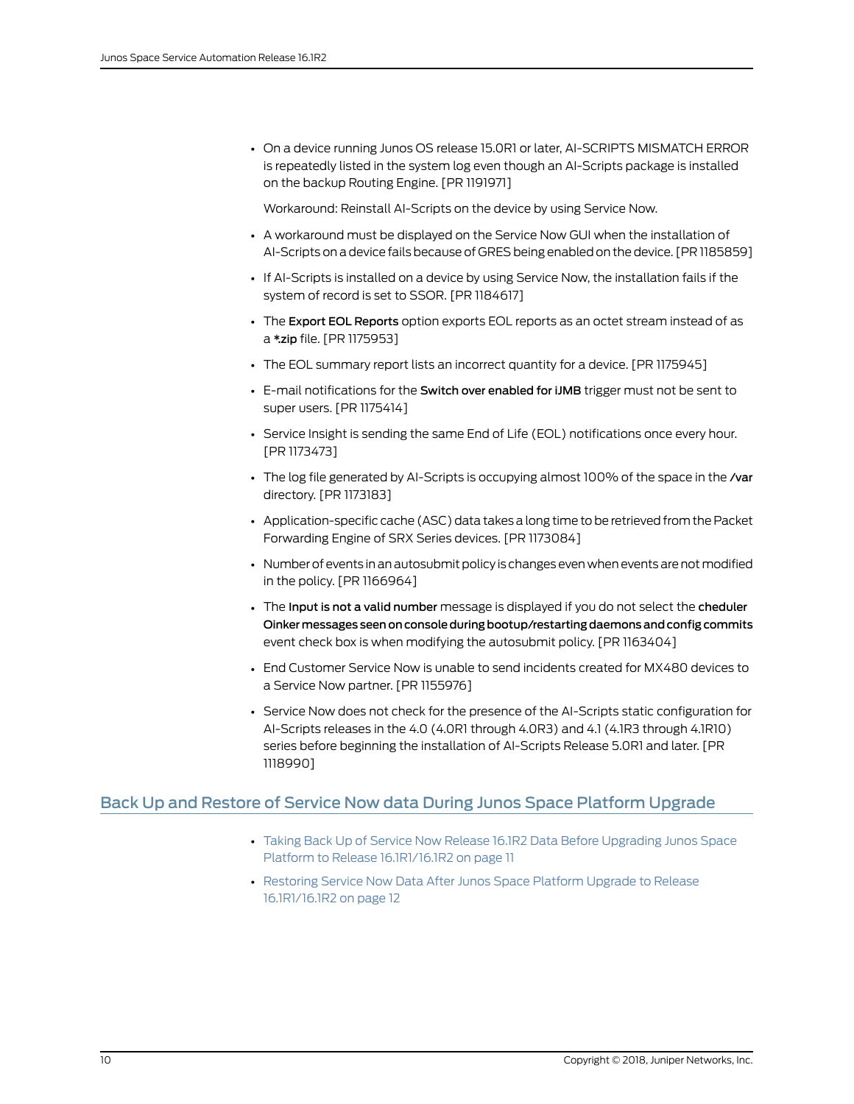• On a device running Junos OS release 15.0R1 or later, AI-SCRIPTS MISMATCH ERROR is repeatedly listed in the system log even though an AI-Scripts package is installed on the backup Routing Engine. [PR 1191971]

Workaround: Reinstall AI-Scripts on the device by using Service Now.

- A workaround must be displayed on the Service Now GUI when the installation of AI-Scripts on a device fails because of GRES being enabled on the device. [PR 1185859]
- If AI-Scripts is installed on a device by using Service Now, the installation fails if the system of record is set to SSOR. [PR 1184617]
- The Export EOL Reports option exports EOL reports as an octet stream instead of as a \*.zip file. [PR 1175953]
- The EOL summary report lists an incorrect quantity for a device. [PR 1175945]
- E-mail notifications for the Switch over enabled for iJMB trigger must not be sent to super users. [PR 1175414]
- Service Insight is sending the same End of Life (EOL) notifications once every hour. [PR 1173473]
- The log file generated by AI-Scripts is occupying almost 100% of the space in the /var directory. [PR 1173183]
- Application-specific cache (ASC) data takes a long time to be retrieved fromthe Packet Forwarding Engine of SRX Series devices. [PR 1173084]
- Number of events in an autosubmit policy is changes even when events are not modified in the policy. [PR 1166964]
- The Input is not a valid number message is displayed if you do not select the cheduler Oinker messages seen on console during bootup/restarting daemons and config commits event check box is when modifying the autosubmit policy. [PR 1163404]
- End Customer Service Now is unable to send incidents created for MX480 devices to a Service Now partner. [PR 1155976]
- Service Now does not check for the presence of the AI-Scripts static configuration for AI-Scripts releases in the 4.0 (4.0R1 through 4.0R3) and 4.1 (4.1R3 through 4.1R10) series before beginning the installation of AI-Scripts Release 5.0R1 and later. [PR 1118990]

## <span id="page-9-0"></span>Back Up and Restore of Service Now data During Junos Space Platform Upgrade

- Taking Back Up of Service Now Release 16.1R2 Data Before [Upgrading](#page-10-0) Junos Space Platform to Release [16.1R1/16.1R2](#page-10-0) on [page](#page-10-0) 11
- [Restoring](#page-11-0) Service Now Data After Junos Space Platform Upgrade to Release [16.1R1/16.1R2](#page-11-0) on [page](#page-11-0) 12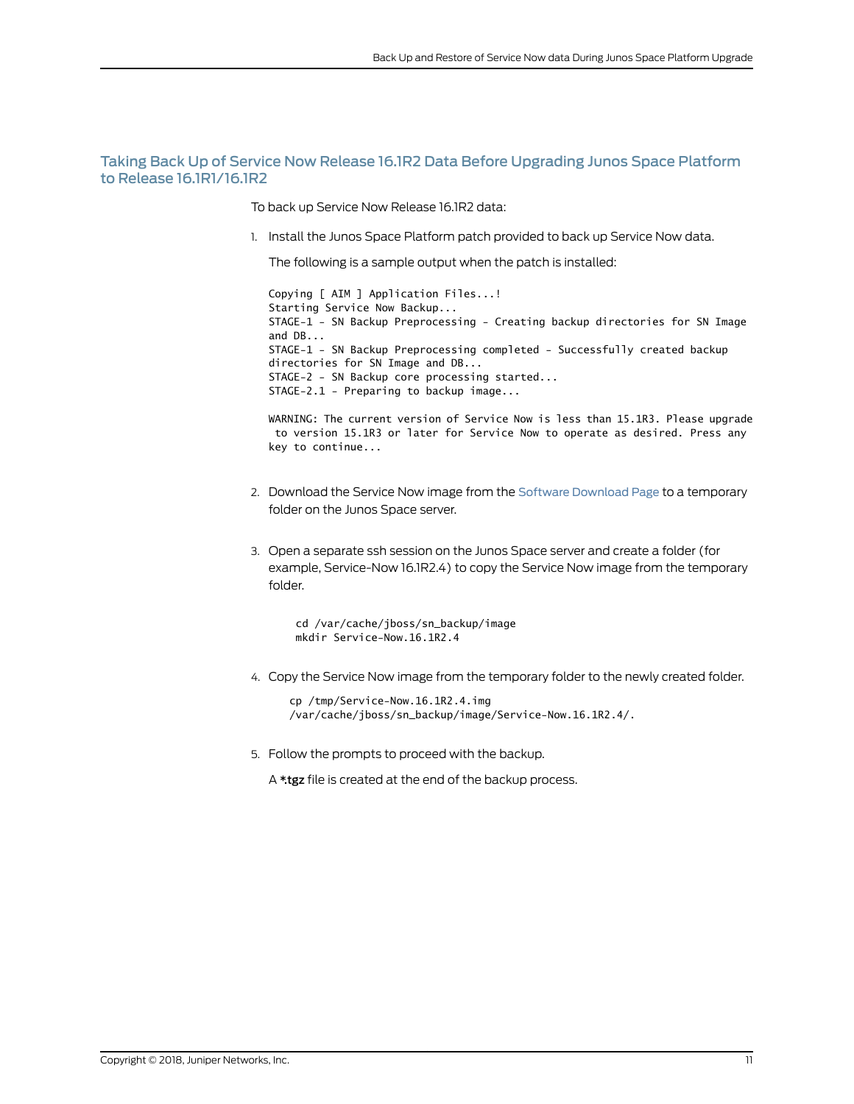#### <span id="page-10-0"></span>Taking Back Up of Service Now Release 16.1R2 Data Before Upgrading Junos Space Platform to Release 16.1R1/16.1R2

To back up Service Now Release 16.1R2 data:

1. Install the Junos Space Platform patch provided to back up Service Now data.

The following is a sample output when the patch is installed:

Copying [ AIM ] Application Files...! Starting Service Now Backup... STAGE-1 - SN Backup Preprocessing - Creating backup directories for SN Image and DB... STAGE-1 - SN Backup Preprocessing completed - Successfully created backup directories for SN Image and DB... STAGE-2 - SN Backup core processing started... STAGE-2.1 - Preparing to backup image...

WARNING: The current version of Service Now is less than 15.1R3. Please upgrade to version 15.1R3 or later for Service Now to operate as desired. Press any key to continue...

- 2. Download the Service Now image from the Software [Download](http://www.juniper.net/support/downloads/?p=servicenow#sw) Page to a temporary folder on the Junos Space server.
- 3. Open a separate ssh session on the Junos Space server and create a folder (for example, Service-Now 16.1R2.4) to copy the Service Now image from the temporary folder.

 cd /var/cache/jboss/sn\_backup/image mkdir Service-Now.16.1R2.4

4. Copy the Service Now image from the temporary folder to the newly created folder.

cp /tmp/Service-Now.16.1R2.4.img /var/cache/jboss/sn\_backup/image/Service-Now.16.1R2.4/.

5. Follow the prompts to proceed with the backup.

A \*.tgz file is created at the end of the backup process.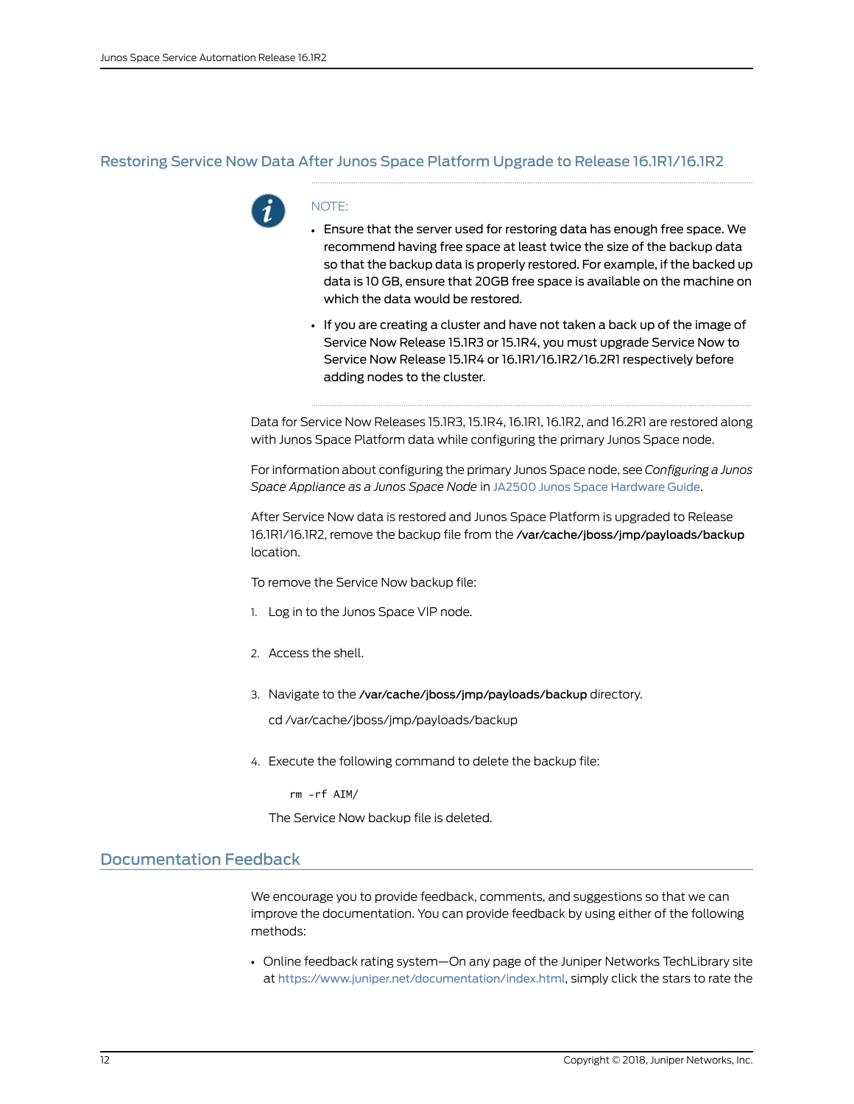#### <span id="page-11-0"></span>Restoring Service Now Data After Junos Space Platform Upgrade to Release 16.1R1/16.1R2



## NOTE:

- Ensure that the server used for restoring data has enough free space. We recommend having free space at least twice the size of the backup data so that the backup data is properly restored. For example, if the backed up data is 10 GB, ensure that 20GB free space is available on the machine on which the data would be restored.
- If you are creating a cluster and have not taken a back up of the image of Service Now Release 15.1R3 or 15.1R4, you must upgrade Service Now to Service Now Release 15.1R4 or 16.1R1/16.1R2/16.2R1 respectively before adding nodes to the cluster.

Data for Service Now Releases 15.1R3, 15.1R4, 16.1R1, 16.1R2, and 16.2R1 are restored along with Junos Space Platform data while configuring the primary Junos Space node.

For information about configuring the primary Junos Space node, see *Configuring a Junos Space Appliance as a Junos Space Node* in JA2500 Junos Space [Hardware](https://www.juniper.net/techpubs/en_US/release-independent/junos-space/information-products/pathway-pages/hardware/ja2500/ja2500-pwp.html) Guide.

After Service Now data is restored and Junos Space Platform is upgraded to Release 16.1R1/16.1R2, remove the backup file from the /var/cache/jboss/jmp/payloads/backup location.

To remove the Service Now backup file:

- 1. Log in to the Junos Space VIP node.
- 2. Access the shell.
- 3. Navigate to the /var/cache/jboss/jmp/payloads/backup directory.

cd /var/cache/jboss/jmp/payloads/backup

4. Execute the following command to delete the backup file:

rm -rf AIM/

The Service Now backup file is deleted.

# <span id="page-11-1"></span>Documentation Feedback

We encourage you to provide feedback, comments, and suggestions so that we can improve the documentation. You can provide feedback by using either of the following methods:

• Online feedback rating system—On any page of the Juniper Networks TechLibrary site at <https://www.juniper.net/documentation/index.html>, simply click the stars to rate the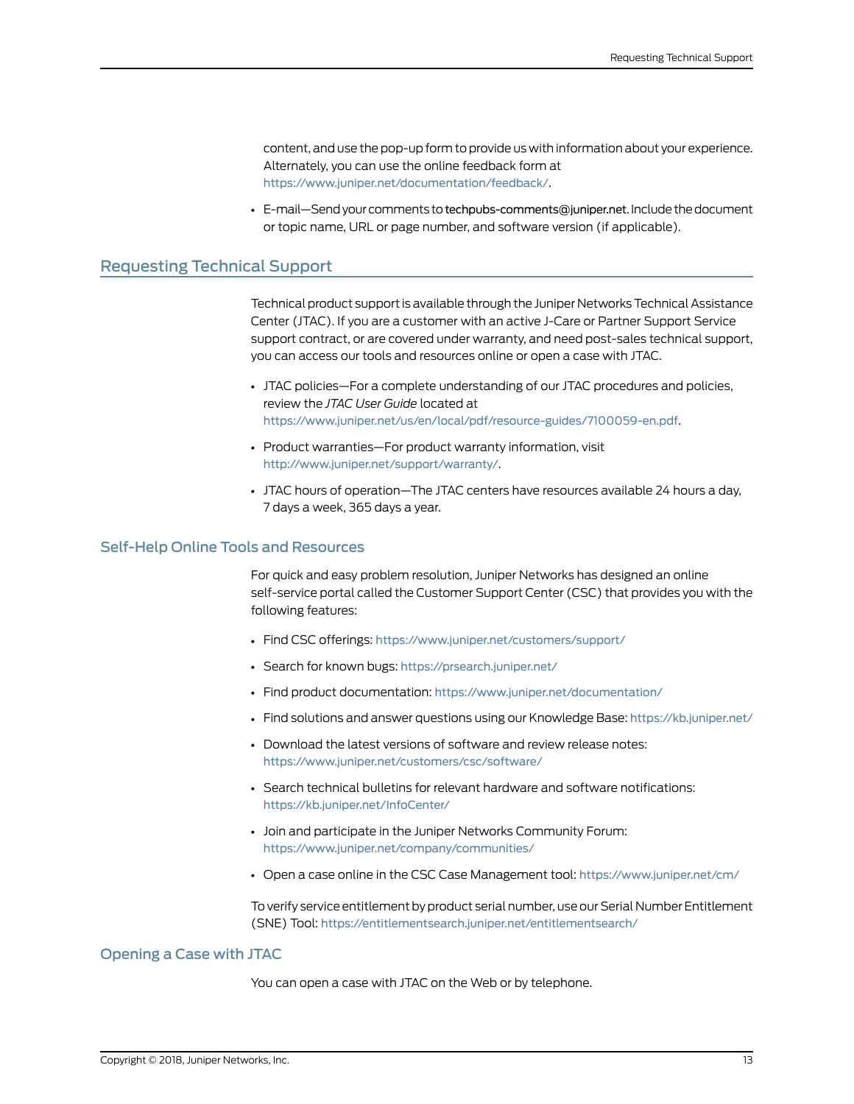content, and use the pop-up formto provide us with information about your experience. Alternately, you can use the online feedback form at <https://www.juniper.net/documentation/feedback/>.

• E-mail—Send your comments to [techpubs-comments@juniper.net](mailto:techpubs-comments@juniper.net?subject=). Include the document or topic name, URL or page number, and software version (if applicable).

#### <span id="page-12-0"></span>Requesting Technical Support

Technical product support is available through the Juniper NetworksTechnical Assistance Center (JTAC). If you are a customer with an active J-Care or Partner Support Service support contract, or are covered under warranty, and need post-sales technical support, you can access our tools and resources online or open a case with JTAC.

- JTAC policies—For a complete understanding of our JTAC procedures and policies, review the *JTAC User Guide* located at <https://www.juniper.net/us/en/local/pdf/resource-guides/7100059-en.pdf>.
- Product warranties—For product warranty information, visit [http://www.juniper.net/support/warranty/](https://www.juniper.net/support/warranty/).
- JTAC hours of operation—The JTAC centers have resources available 24 hours a day, 7 days a week, 365 days a year.

#### <span id="page-12-1"></span>Self-Help Online Tools and Resources

For quick and easy problem resolution, Juniper Networks has designed an online self-service portal called the Customer Support Center (CSC) that provides you with the following features:

- Find CSC offerings: <https://www.juniper.net/customers/support/>
- Search for known bugs: <https://prsearch.juniper.net/>
- Find product documentation: <https://www.juniper.net/documentation/>
- Find solutions and answer questions using our Knowledge Base: <https://kb.juniper.net/>
- Download the latest versions of software and review release notes: <https://www.juniper.net/customers/csc/software/>
- Search technical bulletins for relevant hardware and software notifications: <https://kb.juniper.net/InfoCenter/>
- Join and participate in the Juniper Networks Community Forum: <https://www.juniper.net/company/communities/>
- Open a case online in the CSC Case Management tool: <https://www.juniper.net/cm/>

To verify service entitlement by product serial number, use our Serial Number Entitlement (SNE) Tool: <https://entitlementsearch.juniper.net/entitlementsearch/>

#### <span id="page-12-2"></span>Opening a Case with JTAC

You can open a case with JTAC on the Web or by telephone.